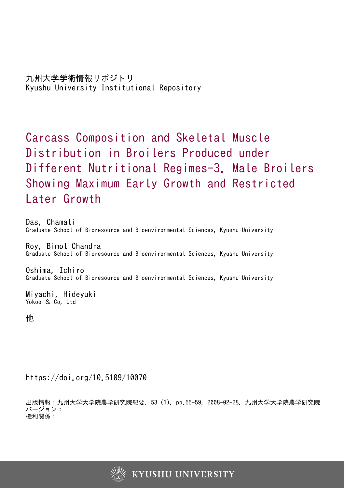# Carcass Composition and Skeletal Muscle Distribution in Broilers Produced under Different Nutritional Regimes-3. Male Broilers Showing Maximum Early Growth and Restricted Later Growth

Das, Chamali Graduate School of Bioresource and Bioenvironmental Sciences, Kyushu University

Roy, Bimol Chandra Graduate School of Bioresource and Bioenvironmental Sciences, Kyushu University

Oshima, Ichiro Graduate School of Bioresource and Bioenvironmental Sciences, Kyushu University

Miyachi, Hideyuki Yokoo & Co, Ltd

他

https://doi.org/10.5109/10070

出版情報:九州大学大学院農学研究院紀要. 53 (1), pp.55-59, 2008-02-28. 九州大学大学院農学研究院 バージョン: 権利関係:

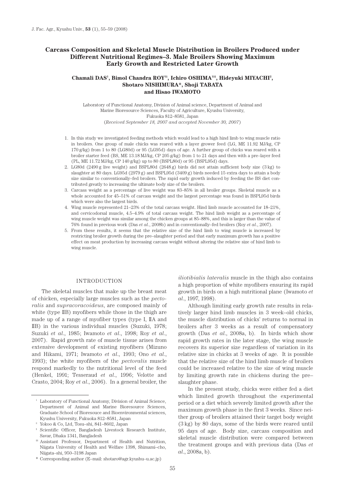# **Carcass Composition and Skeletal Muscle Distribution in Broilers Produced under Different Nutritional Regimes–3. Male Broilers Showing Maximum Early Growth and Restricted Later Growth**

# Chamali DAS<sup>1</sup>, Bimol Chandra ROY<sup>1§</sup>, Ichiro OSHIMA<sup>1§§</sup>, Hideyuki MIYACHI<sup>2</sup>, **Shotaro NISHIMURA\*, Shoji TABATA and Hisao IWAMOTO**

Laboratory of Functional Anatomy, Division of Animal science, Department of Animal and Marine Bioresource Sciences, Faculty of Agriculture, Kyushu University, Fukuoka 812–8581, Japan (*Received September 18, 2007 and accepted November 30, 2007*)

- 1. In this study we investigated feeding methods which would lead to a high hind limb to wing muscle ratio in broilers. One group of male chicks was reared with a layer grower feed (LG, ME 11.92 MJ/kg, CP 170 g/kg) from 1 to 80 (LG80d) or 95 (LG95d) days of age. A further group of chicks was reared with a broiler starter feed (BS, ME 13.18 MJ/kg, CP 205 g/kg) from 1 to 21 days and then with a pre–layer feed (PL, ME 11.72 MJ/kg, CP 140 g/kg) up to 80 (BSPL80d) or 95 (BSPL95d) days.
- 2. LG80d (2490 g live weight) and BSPL80d (2648 g) birds did not attain sufficient body size (3 kg) to slaughter at 80 days. LG95d (2979 g) and BSPL95d (3409 g) birds needed 15 extra days to attain a body size similar to conventionally–fed broilers. The rapid early growth induced by feeding the BS diet contributed greatly to increasing the ultimate body size of the broilers.
- 3. Carcass weight as a percentage of live weight was 83–85% in all broiler groups. Skeletal muscle as a whole accounted for 45–51% of carcass weight and the largest percentage was found in BSPL95d birds which were also the largest birds.
- 4. Wing muscle represented 21–23% of the total carcass weight. Hind limb muscle accounted for 18–21%, and cervicodorsal muscle, 4.5–4.9% of total carcass weight. The hind limb weight as a percentage of wing muscle weight was similar among the chicken groups at 85–88%, and this is larger than the value of 76% found in previous work (Das *et al*., 2008b) and in conventionally–fed broilers (Roy *et al*., 2007).
- 5. From these results, it seems that the relative size of the hind limb to wing muscle is increased by restricting broiler growth during the pre–slaughter period and that early maximum growth has a positive effect on meat production by increasing carcass weight without altering the relative size of hind limb to wing muscle.

#### INTRODUCTION

The skeletal muscles that make up the breast meat of chicken, especially large muscles such as the *pectoralis* and *supracoracoideus*, are composed mainly of white (type IIB) myofibers while those in the thigh are made up of a range of myofiber types (type I, IIA and IIB) in the various individual muscles (Suzuki, 1978; Suzuki *et al*., 1985; Iwamoto *et al*., 1998; Roy *et al*., 2007). Rapid growth rate of muscle tissue arises from extensive development of existing myofibers (Mizuno and Hikami, 1971; Iwamoto *et al*., 1993; Ono *et al*., 1993); the white myofibers of the *pectoralis* muscle respond markedly to the nutritional level of the feed (Henkel, 1991; Tesseraud *et al*., 1996; Velotte and Crasto, 2004; Roy *et al*., 2006). In a general broiler, the

*iliotibialis lateralis* muscle in the thigh also contains a high proportion of white myofibers ensuring its rapid growth in birds on a high nutritional plane (Iwamoto *et al*., 1997, 1998).

Although limiting early growth rate results in relatively larger hind limb muscles in 3 week–old chicks, the muscle distribution of chicks' returns to normal in broilers after 3 weeks as a result of compensatory growth (Das *et al*., 2008a, b). In birds which show rapid growth rates in the later stage, the wing muscle recovers its superior size regardless of variation in its relative size in chicks at 3 weeks of age. It is possible that the relative size of the hind limb muscle of broilers could be increased relative to the size of wing muscle by limiting growth rate in chickens during the pre– slaughter phase.

In the present study, chicks were either fed a diet which limited growth throughout the experimental period or a diet which severely limited growth after the maximum growth phase in the first 3 weeks. Since neither group of broilers attained their target body weight (3 kg) by 80 days, some of the birds were reared until 95 days of age. Body size, carcass composition and skeletal muscle distribution were compared between the treatment groups and with previous data (Das *et al*., 2008a, b).

<sup>&</sup>lt;sup>1</sup> Laboratory of Functional Anatomy, Division of Animal Science, Department of Animal and Marine Bioresource Sciences, Graduate School of Bioresouce and Bioenvironmental sciences, Kyushu University, Fukuoka 812–8581, Japan

<sup>2</sup> Yokoo & Co, Ltd, Tosu–shi, 841–8602, Japan

<sup>§</sup> Scientific Officer, Bangladesh Livestock Research Institute, Savar, Dhaka 1341, Bangladesh

<sup>§§</sup> Assistant Professor, Department of Health and Nutrition, Niigata University of Health and Welfare 1398, Shimami–cho, Niigata–shi, 950–3198 Japan

<sup>\*</sup> Corresponding author (E–mail: shotaro@agr.kyushu–u.ac.jp)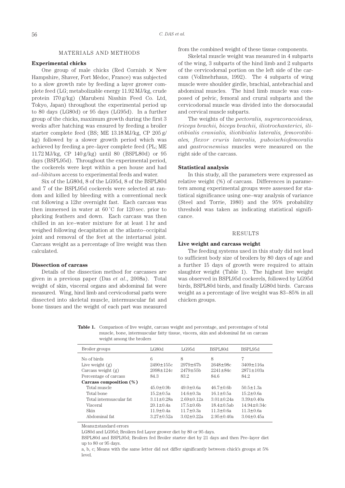#### MATERIALS AND METHODS

## **Experimental chicks**

One group of male chicks (Red Cornish  $\times$  New Hampshire, Shaver, Fort Mèdoc, France) was subjected to a slow growth rate by feeding a layer grower complete feed (LG; metabolizable energy 11.92 MJ/kg, crude protein 170 g/kg) (Marubeni Nisshin Feed Co. Ltd, Tokyo, Japan) throughout the experimental period up to 80 days (LG80d) or 95 days (LG95d). In a further group of the chicks, maximum growth during the first 3 weeks after hatching was ensured by feeding a broiler starter complete feed (BS; ME 13.18 MJ/kg, CP 205 g/ kg) followed by a slower growth period which was achieved by feeding a pre–layer complete feed (PL; ME 11.72 MJ/kg, CP 140 g/kg) until 80 (BSPL80d) or 95 days (BSPL95d). Throughout the experimental period, the cockerels were kept within a pen house and had *ad–libitum* access to experimental feeds and water.

Six of the LG80d, 8 of the LG95d, 8 of the BSPL80d and 7 of the BSPL95d cockerels were selected at random and killed by bleeding with a conventional neck cut following a 12hr overnight fast. Each carcass was then immersed in water at  $60^{\circ}$ C for 120 sec. prior to plucking feathers and down. Each carcass was then chilled in an ice–water mixture for at least 1 hr and weighed following decapitation at the atlanto–occipital joint and removal of the feet at the intertarsal joint. Carcass weight as a percentage of live weight was then calculated.

## **Dissection of carcass**

Details of the dissection method for carcasses are given in a previous paper (Das *et al*., 2008a). Total weight of skin, visceral organs and abdominal fat were measured. Wing, hind limb and cervicodorsal parts were dissected into skeletal muscle, intermuscular fat and bone tissues and the weight of each part was measured from the combined weight of these tissue components.

Skeletal muscle weight was measured in 4 subparts of the wing, 3 subparts of the hind limb and 2 subparts of the cervicodorsal portion on the left side of the carcass (Vollmehrhaus, 1992). The 4 subparts of wing muscle were shoulder girdle, brachial, antebrachial and abdominal muscles. The hind limb muscle was composed of pelvic, femoral and crural subparts and the cervicodorsal muscle was divided into the dorsocaudal and cervical muscle subparts.

The weights of the *pectoralis, supracoracoideus, triceps brachii, biceps brachii, iliotrochanterici, iliotibialis cranialis, iliotibialis lateralis, femorotibiales, flexor cruris lateralis, puboischiofemoralis*  and *gastrocnemius* muscles were measured on the right side of the carcass.

# **Statistical analysis**

In this study, all the parameters were expressed as relative weight (%) of carcass. Differences in parameters among experimental groups were assessed for statistical significance using one–way analysis of variance (Steel and Torrie, 1980) and the 95% probability threshold was taken as indicating statistical significance.

## RESULTS

# **Live weight and carcass weight**

The feeding systems used in this study did not lead to sufficient body size of broilers by 80 days of age and a further 15 days of growth were required to attain slaughter weight (Table 1). The highest live weight was observed in BSPL95d cockerels, followed by LG95d birds, BSPL80d birds, and finally LG80d birds. Carcass weight as a percentage of live weight was 83–85% in all chicken groups.

**Table 1.** Comparison of live weight, carcass weight and percentage, and percentages of total muscle, bone, intermuscular fatty tissue, viscera, skin and abdominal fat on carcass weight among the broilers

| Broiler groups          | LG80d            | LG95d            | BSPL80d           | BSPL95d           |
|-------------------------|------------------|------------------|-------------------|-------------------|
|                         |                  |                  |                   |                   |
| No of birds             | 6                | 8                | 8                 | 7                 |
| Live weight $(g)$       | $2490 \pm 155c$  | $2979 \pm 67$ b  | $2648 \pm 98c$    | $3409 \pm 116a$   |
| Carcass weight $(g)$    | $2098 \pm 124c$  | $2479 \pm 55$ b  | $2241 \pm 84c$    | $2871 \pm 103a$   |
| Percentage of carcass   | 84.3             | 83.2             | 84.6              | 84.2              |
| Carcass composition (%) |                  |                  |                   |                   |
| Total muscle            | $45.0 \pm 0.9$ b | $49.0 \pm 0.6a$  | $46.7 \pm 0.6$ b  | $50.5 \pm 1.3a$   |
| Total bone              | $15.2 \pm 0.5a$  | $14.6 \pm 0.3a$  | $16.1 \pm 0.5a$   | $15.2 \pm 0.6a$   |
| Total intermuscular fat | $311+028a$       | $2.69 + 0.12a$   | $3.01 + 0.24a$    | $3.39 \pm 0.40a$  |
| Visceral                | $20.1 \pm 0.4a$  | $17.5 \pm 0.6$ b | $18.4 \pm 0.5$ ab | $14.94 \pm 0.34c$ |
| Skin                    | $11.9 \pm 0.4a$  | $11.7 \pm 0.3a$  | $11.3 \pm 0.6a$   | $11.3 \pm 0.6a$   |
| Abdominal fat           | $3.27 \pm 0.52a$ | $3.02 \pm 0.22a$ | $2.95 \pm 0.40a$  | $3.04 \pm 0.45a$  |
|                         |                  |                  |                   |                   |

Means±standard errors

LG80d and LG95d; Broilers fed Layer grower diet by 80 or 95 days.

BSPL80d and BSPL95d; Broilers fed Broiler starter diet by 21 days and then Pre–layer diet up to 80 or 95 days.

a, b, c; Means with the same letter did not differ significantly between chick's groups at 5% level.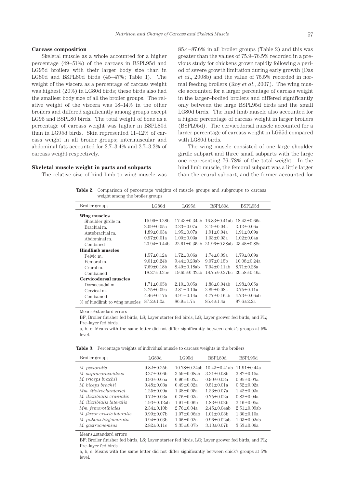## **Carcass composition**

Skeletal muscle as a whole accounted for a higher percentage (49–51%) of the carcass in BSPL95d and LG95d broilers with their larger body size than in LG80d and BSPL80d birds (45–47%; Table 1). The weight of the viscera as a percentage of carcass weight was highest (20%) in LG80d birds; these birds also had the smallest body size of all the broiler groups. The relative weight of the viscera was 18–14% in the other broilers and differed significantly among groups except LG95 and BSPL80 birds. The total weight of bone as a percentage of carcass weight was higher in BSPL80d than in LG95d birds. Skin represented 11–12% of carcass weight in all broiler groups; intermuscular and abdominal fats accounted for 2.7–3.4% and 2.7–3.3% of carcass weight respectively.

# **Skeletal muscle weight in parts and subparts**

The relative size of hind limb to wing muscle was

85.4–87.6% in all broiler groups (Table 2) and this was greater than the values of 75.9–76.5% recorded in a previous study for chickens grown rapidly following a period of severe growth limitation during early growth (Das *et al*., 2008b) and the value of 76.5% recorded in normal feeding broilers (Roy *et al*., 2007). The wing muscle accounted for a larger percentage of carcass weight in the larger–bodied broilers and differed significantly only between the large BSPL95d birds and the small LG80d birds. The hind limb muscle also accounted for a higher percentage of carcass weight in larger broilers (BSPL95d). The cervicodorsal muscle accounted for a larger percentage of carcass weight in LG95d compared with LG80d birds.

The wing muscle consisted of one large shoulder girdle subpart and three small subparts with the large one representing 76–78% of the total weight. In the hind limb muscle, the femoral subpart was a little larger than the crural subpart, and the former accounted for

**Table 2.** Comparison of percentage weights of muscle groups and subgroups to carcass weight among the broiler groups

| Broiler groups                | LG80d              | LG95d               | BSPL80d             | BSPL95d            |
|-------------------------------|--------------------|---------------------|---------------------|--------------------|
| Wing muscles                  |                    |                     |                     |                    |
| Shoulder girdle m.            | $15.99 \pm 0.28$ b | $17.43 \pm 0.34$ ab | $16.83 \pm 0.41$ ab | $18.43 \pm 0.66a$  |
| Brachial m.                   | $2.09 \pm 0.05a$   | $2.23 \pm 0.07a$    | $2.19 \pm 0.04a$    | $2.12 \pm 0.06a$   |
| Antebrachial m.               | $1.89 \pm 0.03a$   | $1.95 \pm 0.07a$    | $1.91 \pm 0.04a$    | $1.91 \pm 0.09a$   |
| Abdominal m.                  | $0.97 \pm 0.01a$   | $1.00 \pm 0.03a$    | $1.03 \pm 0.03a$    | $1.02 \pm 0.04a$   |
| Combined                      | $20.94 \pm 0.44$   | $22.61 \pm 0.35$ ab | $21.96 \pm 0.38$ ab | $23.48 \pm 0.88a$  |
| <b>Hindlimb muscles</b>       |                    |                     |                     |                    |
| Pelvic m.                     | $1.57 \pm 0.12a$   | $1.72 \pm 0.06a$    | $1.74 \pm 0.09a$    | $1.79 \pm 0.09a$   |
| Femoral m.                    | $9.01 \pm 0.24$    | $9.44 \pm 0.23$ ab  | $9.07 \pm 0.15$ b   | $10.08 \pm 0.24a$  |
| Crural m.                     | $7.69 \pm 0.18$ b  | $8.49 \pm 0.18$ ab  | $7.94 \pm 0.11$ ab  | $8.71 \pm 0.28a$   |
| Combained                     | $18.27 \pm 0.35c$  | $19.65 \pm 0.33$ ab | $18.75 \pm 0.27$ bc | $20.58 \pm 0.46a$  |
| Cervicodorsal muscles         |                    |                     |                     |                    |
| Dorsocaudal m.                | $1.71 \pm 0.05$ b  | $2.10 \pm 0.05a$    | $1.88 \pm 0.04$ ab  | $1.98 \pm 0.05a$   |
| Cervical m.                   | $2.75 \pm 0.09a$   | $2.81 \pm 0.10a$    | $2.89 \pm 0.08a$    | $2.75 \pm 0.11a$   |
| Combained                     | $4.46 \pm 0.17$ h  | $4.91 \pm 0.14a$    | $4.77 \pm 0.16$ ab  | $4.73 \pm 0.06$ ab |
| % of hindlimb to wing muscles | $87.2 \pm 1.2a$    | $86.9 \pm 1.7a$     | $85.4 \pm 1.4a$     | $87.6 \pm 2.2a$    |
|                               |                    |                     |                     |                    |

Means±standard errors

BF; Broiler finisher fed birds, LS; Layer starter fed birds, LG; Layer grower fed birds, and PL; Pre–layer fed birds.

a, b, c; Means with the same letter did not differ significantly between chick's groups at 5% level.

**Table 3.** Percentage weights of individual muscle to carcass weights in the broilers

| Broiler groups                   | LG80d              | LG95d               | BSPL80d             | BSPL95d            |
|----------------------------------|--------------------|---------------------|---------------------|--------------------|
|                                  |                    |                     |                     |                    |
| M. pectoralis                    | $9.82 \pm 0.25$ b  | $10.78 \pm 0.24$ ab | $10.43 \pm 0.41$ ab | $11.91 \pm 0.44a$  |
| M. supracoracoideus              | $3.27 \pm 0.06$ b  | $3.59 \pm 0.08$ ab  | $3.31 \pm 0.08$     | $3.87 \pm 0.15a$   |
| M. triceps brachii               | $0.90 \pm 0.05a$   | $0.96 \pm 0.03a$    | $0.90 \pm 0.03a$    | $0.95 \pm 0.03a$   |
| M. biceps brachii                | $0.48 \pm 0.03a$   | $0.49 \pm 0.02a$    | $0.51 \pm 0.01a$    | $0.52 \pm 0.02a$   |
| Mm. iliotrochanterici            | $1.25 \pm 0.09a$   | $1.38 \pm 0.05a$    | $1.23 \pm 0.07a$    | $1.42 \pm 0.03a$   |
| <i>M. iliotibialis cranialis</i> | $0.72 \pm 0.03a$   | $0.76 \pm 0.03a$    | $0.75 \pm 0.02a$    | $0.82 \pm 0.04a$   |
| <i>M. iliotibialis lateralis</i> | $1.93 \pm 0.12$ ab | $1.91 \pm 0.06$ b   | $1.83 \pm 0.02$ b   | $2.16 \pm 0.05a$   |
| Mm. femorotibiales               | $2.34 \pm 0.10$    | $2.76 \pm 0.04a$    | $2.45 \pm 0.04$ ab  | $2.51 \pm 0.09$ ab |
| M. flexor cruris lateralis       | $0.99 \pm 0.07$ b  | $1.07 \pm 0.06$ ab  | $1.01 \pm 0.03$ b   | $1.30 \pm 0.10a$   |
| M. puboischiofemoralis           | $0.94 \pm 0.03$    | $1.06 \pm 0.02a$    | $0.96 \pm 0.02$ ab  | $1.03 \pm 0.02$ ab |
| M. gastrocnemius                 | $2.82 \pm 0.11c$   | $3.35 \pm 0.07$ b   | $3.13 \pm 0.07$ b   | $3.53 \pm 0.06a$   |

Means±standard errors

BF; Broiler finisher fed birds, LS; Layer starter fed birds, LG; Layer grower fed birds, and PL; Pre–layer fed birds.

a, b, c; Means with the same letter did not differ significantly between chick's groups at 5% level.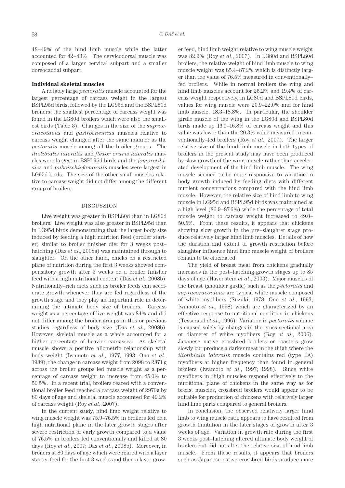48–49% of the hind limb muscle while the latter accounted for 42–43%. The cervicodorsal muscle was composed of a larger cervical subpart and a smaller dorsocaudal subpart.

#### **Individual skeletal muscles**

A notably large *pectoralis* muscle accounted for the largest percentage of carcass weight in the largest BSPL95d birds, followed by the LG95d and the BSPL80d broilers; the smallest percentage of carcass weight was found in the LG80d broilers which were also the smallest birds (Table 3). Changes in the size of the *supracoracoideus* and *gastrocnemius* muscles relative to carcass weight changed after the same manner as the *pectoralis* muscle among all the broiler groups. The *iliotibialis lateralis* and *flexor cruris lateralis* muscles were largest in BSPL95d birds and the *femorotibiales* and *puboischiofemoralis* muscles were largest in LG95d birds. The size of the other small muscles relative to carcass weight did not differ among the different group of broilers.

## DISCUSSION

Live weight was greater in BSPL80d than in LG80d broilers. Live weight was also greater in BSPL95d than in LG95d birds demonstrating that the larger body size induced by feeding a high nutrition feed (broiler starter) similar to broiler finisher diet for 3 weeks post– hatching (Das *et al*., 2008a) was maintained through to slaughter. On the other hand, chicks on a restricted plane of nutrition during the first 3 weeks showed compensatory growth after 3 weeks on a broiler finisher feed with a high nutritional content (Das *et al*., 2008b). Nutritionally–rich diets such as broiler feeds can accelerate growth whenever they are fed regardless of the growth stage and they play an important role in determining the ultimate body size of broilers. Carcass weight as a percentage of live weight was 84% and did not differ among the broiler groups in this or previous studies regardless of body size (Das *et al*., 2008b). However, skeletal muscle as a whole accounted for a higher percentage of heavier carcasses. As skeletal muscle shows a positive allometric relationship with body weight (Iwamoto *et al*., 1977, 1993; Ono *et al*., 1989), the change in carcass weight from 2098 to 2871 g across the broiler groups led muscle weight as a percentage of carcass weight to increase from 45.0% to 50.5%. In a recent trial, broilers reared with a conventional broiler feed reached a carcass weight of 2970g by 80 days of age and skeletal muscle accounted for 49.2% of carcass weight (Roy *et al*., 2007).

In the current study, hind limb weight relative to wing muscle weight was 75.9–76.5% in broilers fed on a high nutritional plane in the later growth stages after severe restriction of early growth compared to a value of 76.5% in broilers fed conventionally and killed at 80 days (Roy *et al*., 2007; Das *et al*., 2008b). Moreover, in broilers at 80 days of age which were reared with a layer starter feed for the first 3 weeks and then a layer grower feed, hind limb weight relative to wing muscle weight was 82.2% (Roy *et al*., 2007). In LG80d and BSPL80d broilers, the relative weight of hind limb muscle to wing muscle weight was 85.4–87.2% which is distinctly larger than the value of 76.5% measured in conventionally– fed broilers. While in normal broilers the wing and hind limb muscles account for 25.2% and 19.4% of carcass weight respectively, in LG80d and BSPL80d birds, values for wing muscle were 20.9–22.0% and for hind limb muscle, 18.3–18.8%. In particular, the shoulder girdle muscle of the wing in the LG80d and BSPL80d birds made up 16.0–16.8% of carcass weight and this value was lower than the 20.3% value measured in conventionally–fed broilers (Roy *et al*., 2007). The larger relative size of the hind limb muscle in both types of broilers in the present study may have been produced by slow growth of the wing muscle rather than accelerated development of the hind limb muscle. The wing muscle seemed to be more responsive to variation in body growth induced by feeding diets with different nutrient concentrations compared with the hind limb muscle. However, the relative size of hind limb to wing muscle in LG95d and BSPL95d birds was maintained at a high level (86.9–87.6%) while the percentage of total muscle weight to carcass weight increased to 49.0– 50.5%. From these results, it appears that chickens showing slow growth in the pre–slaughter stage produce relatively larger hind limb muscles. Details of how the duration and extent of growth restriction before slaughter influence hind limb muscle weight of broilers remain to be elucidated.

The yield of breast meat from chickens gradually increases in the post–hatching growth stages up to 85 days of age (Havenstein *et al*., 2003). Major muscles of the breast (shoulder girdle) such as the *pectoralis* and *supracoracoideus* are typical white muscle composed of white myofibers (Suzuki, 1978; Ono *et al*., 1993; Iwamoto *et al*., 1998) which are characterized by an effective response to nutritional condition in chickens (Tesseraud *et al*., 1996). Variation in *pectoralis* volume is caused solely by changes in the cross sectional area or diameter of white myofibers (Roy *et al*., 2006). Japanese native crossbred broilers or roasters grow slowly but produce a darker meat in the thigh where the *iliotibialis lateralis* muscle contains red (type IIA) myofibers at higher frequency than found in general broilers (Iwamoto *et al*., 1997; 1998). Since white myofibers in thigh muscles respond effectively to the nutritional plane of chickens in the same way as for breast muscles, crossbred broilers would appear to be suitable for production of chickens with relatively larger hind limb parts compared to general broilers.

In conclusion, the observed relatively larger hind limb to wing muscle ratio appears to have resulted from growth limitation in the later stages of growth after 3 weeks of age. Variation in growth rate during the first 3 weeks post–hatching altered ultimate body weight of broilers but did not alter the relative size of hind limb muscle. From these results, it appears that broilers such as Japanese native crossbred birds produce more